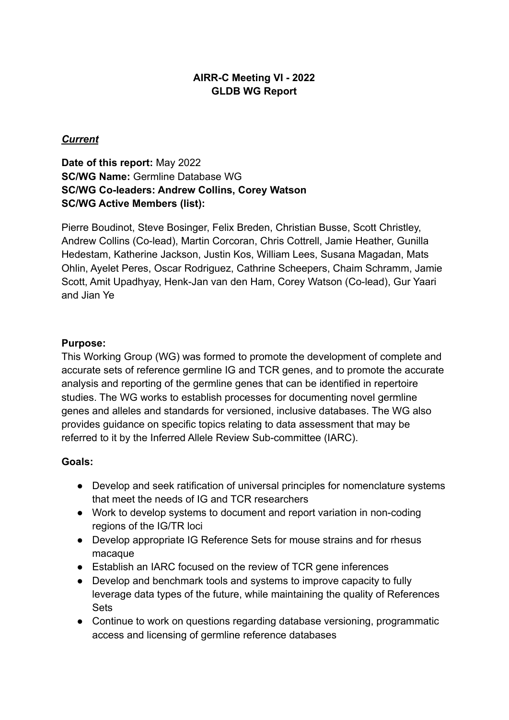# **AIRR-C Meeting VI - 2022 GLDB WG Report**

### *Current*

# **Date of this report:** May 2022 **SC/WG Name:** Germline Database WG **SC/WG Co-leaders: Andrew Collins, Corey Watson SC/WG Active Members (list):**

Pierre Boudinot, Steve Bosinger, Felix Breden, Christian Busse, Scott Christley, Andrew Collins (Co-lead), Martin Corcoran, Chris Cottrell, Jamie Heather, Gunilla Hedestam, Katherine Jackson, Justin Kos, William Lees, Susana Magadan, Mats Ohlin, Ayelet Peres, Oscar Rodriguez, Cathrine Scheepers, Chaim Schramm, Jamie Scott, Amit Upadhyay, Henk-Jan van den Ham, Corey Watson (Co-lead), Gur Yaari and Jian Ye

#### **Purpose:**

This Working Group (WG) was formed to promote the development of complete and accurate sets of reference germline IG and TCR genes, and to promote the accurate analysis and reporting of the germline genes that can be identified in repertoire studies. The WG works to establish processes for documenting novel germline genes and alleles and standards for versioned, inclusive databases. The WG also provides guidance on specific topics relating to data assessment that may be referred to it by the Inferred Allele Review Sub-committee (IARC).

#### **Goals:**

- Develop and seek ratification of universal principles for nomenclature systems that meet the needs of IG and TCR researchers
- Work to develop systems to document and report variation in non-coding regions of the IG/TR loci
- Develop appropriate IG Reference Sets for mouse strains and for rhesus macaque
- Establish an IARC focused on the review of TCR gene inferences
- Develop and benchmark tools and systems to improve capacity to fully leverage data types of the future, while maintaining the quality of References Sets
- Continue to work on questions regarding database versioning, programmatic access and licensing of germline reference databases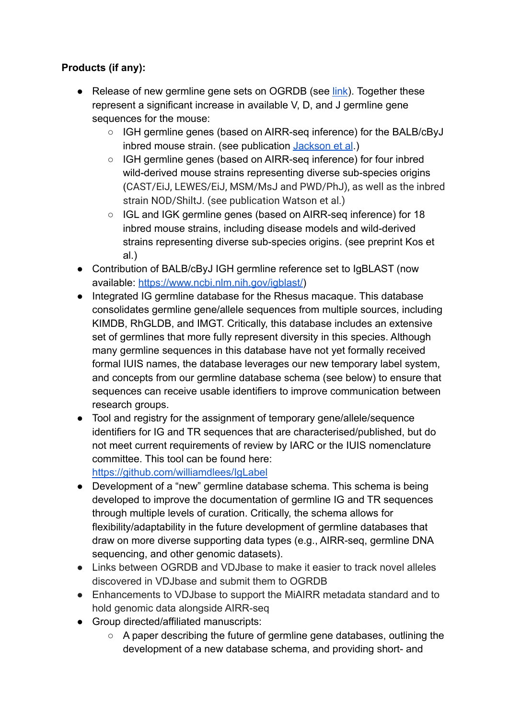# **Products (if any):**

- Release of new germline gene sets on OGRDB (see [link](https://wordpress.vdjbase.org/index.php/ogrdb_news/first-germline-sets-published-on-ogrdb/)). Together these represent a significant increase in available V, D, and J germline gene sequences for the mouse:
	- IGH germline genes (based on AIRR-seq inference) for the BALB/cByJ inbred mouse strain. (see publication [Jackson et al](https://www.frontiersin.org/articles/10.3389/fimmu.2022.888555/abstract).)
	- IGH germline genes (based on AIRR-seq inference) for four inbred wild-derived mouse strains representing diverse sub-species origins (CAST/EiJ, LEWES/EiJ, MSM/MsJ and PWD/PhJ), as well as the inbred strain NOD/ShiltJ. (see publication Watson et al.)
	- IGL and IGK germline genes (based on AIRR-seq inference) for 18 inbred mouse strains, including disease models and wild-derived strains representing diverse sub-species origins. (see preprint Kos et al.)
- Contribution of BALB/cByJ IGH germline reference set to IgBLAST (now available: [https://www.ncbi.nlm.nih.gov/igblast/\)](https://www.ncbi.nlm.nih.gov/igblast/)
- Integrated IG germline database for the Rhesus macaque. This database consolidates germline gene/allele sequences from multiple sources, including KIMDB, RhGLDB, and IMGT. Critically, this database includes an extensive set of germlines that more fully represent diversity in this species. Although many germline sequences in this database have not yet formally received formal IUIS names, the database leverages our new temporary label system, and concepts from our germline database schema (see below) to ensure that sequences can receive usable identifiers to improve communication between research groups.
- Tool and registry for the assignment of temporary gene/allele/sequence identifiers for IG and TR sequences that are characterised/published, but do not meet current requirements of review by IARC or the IUIS nomenclature committee. This tool can be found here:

<https://github.com/williamdlees/IgLabel>

- Development of a "new" germline database schema. This schema is being developed to improve the documentation of germline IG and TR sequences through multiple levels of curation. Critically, the schema allows for flexibility/adaptability in the future development of germline databases that draw on more diverse supporting data types (e.g., AIRR-seq, germline DNA sequencing, and other genomic datasets).
- Links between OGRDB and VDJbase to make it easier to track novel alleles discovered in VDJbase and submit them to OGRDB
- Enhancements to VDJbase to support the MiAIRR metadata standard and to hold genomic data alongside AIRR-seq
- Group directed/affiliated manuscripts:
	- A paper describing the future of germline gene databases, outlining the development of a new database schema, and providing short- and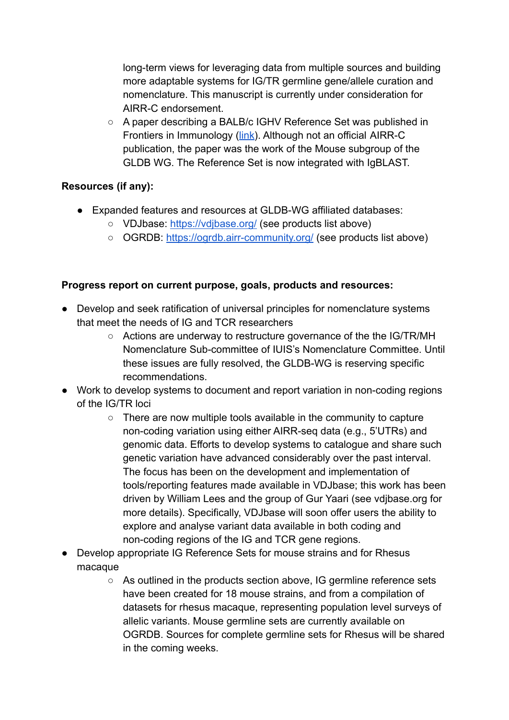long-term views for leveraging data from multiple sources and building more adaptable systems for IG/TR germline gene/allele curation and nomenclature. This manuscript is currently under consideration for AIRR-C endorsement.

○ A paper describing a BALB/c IGHV Reference Set was published in Frontiers in Immunology ([link](https://www.frontiersin.org/articles/10.3389/fimmu.2022.888555/abstract)). Although not an official AIRR-C publication, the paper was the work of the Mouse subgroup of the GLDB WG. The Reference Set is now integrated with IgBLAST.

# **Resources (if any):**

- Expanded features and resources at GLDB-WG affiliated databases:
	- VDJbase: <https://vdjbase.org/> (see products list above)
	- OGRDB: <https://ogrdb.airr-community.org/> (see products list above)

# **Progress report on current purpose, goals, products and resources:**

- Develop and seek ratification of universal principles for nomenclature systems that meet the needs of IG and TCR researchers
	- Actions are underway to restructure governance of the the IG/TR/MH Nomenclature Sub-committee of IUIS's Nomenclature Committee. Until these issues are fully resolved, the GLDB-WG is reserving specific recommendations.
- Work to develop systems to document and report variation in non-coding regions of the IG/TR loci
	- There are now multiple tools available in the community to capture non-coding variation using either AIRR-seq data (e.g., 5'UTRs) and genomic data. Efforts to develop systems to catalogue and share such genetic variation have advanced considerably over the past interval. The focus has been on the development and implementation of tools/reporting features made available in VDJbase; this work has been driven by William Lees and the group of Gur Yaari (see vdjbase.org for more details). Specifically, VDJbase will soon offer users the ability to explore and analyse variant data available in both coding and non-coding regions of the IG and TCR gene regions.
- Develop appropriate IG Reference Sets for mouse strains and for Rhesus macaque
	- As outlined in the products section above, IG germline reference sets have been created for 18 mouse strains, and from a compilation of datasets for rhesus macaque, representing population level surveys of allelic variants. Mouse germline sets are currently available on OGRDB. Sources for complete germline sets for Rhesus will be shared in the coming weeks.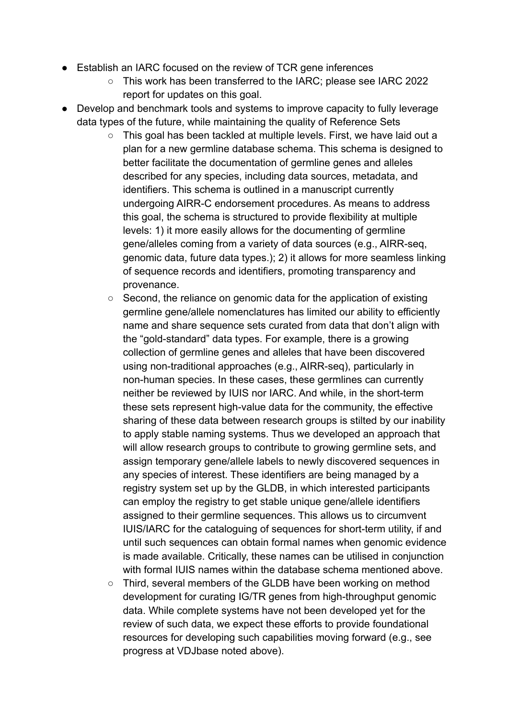- Establish an IARC focused on the review of TCR gene inferences
	- This work has been transferred to the IARC; please see IARC 2022 report for updates on this goal.
- Develop and benchmark tools and systems to improve capacity to fully leverage data types of the future, while maintaining the quality of Reference Sets
	- This goal has been tackled at multiple levels. First, we have laid out a plan for a new germline database schema. This schema is designed to better facilitate the documentation of germline genes and alleles described for any species, including data sources, metadata, and identifiers. This schema is outlined in a manuscript currently undergoing AIRR-C endorsement procedures. As means to address this goal, the schema is structured to provide flexibility at multiple levels: 1) it more easily allows for the documenting of germline gene/alleles coming from a variety of data sources (e.g., AIRR-seq, genomic data, future data types.); 2) it allows for more seamless linking of sequence records and identifiers, promoting transparency and provenance.
	- Second, the reliance on genomic data for the application of existing germline gene/allele nomenclatures has limited our ability to efficiently name and share sequence sets curated from data that don't align with the "gold-standard" data types. For example, there is a growing collection of germline genes and alleles that have been discovered using non-traditional approaches (e.g., AIRR-seq), particularly in non-human species. In these cases, these germlines can currently neither be reviewed by IUIS nor IARC. And while, in the short-term these sets represent high-value data for the community, the effective sharing of these data between research groups is stilted by our inability to apply stable naming systems. Thus we developed an approach that will allow research groups to contribute to growing germline sets, and assign temporary gene/allele labels to newly discovered sequences in any species of interest. These identifiers are being managed by a registry system set up by the GLDB, in which interested participants can employ the registry to get stable unique gene/allele identifiers assigned to their germline sequences. This allows us to circumvent IUIS/IARC for the cataloguing of sequences for short-term utility, if and until such sequences can obtain formal names when genomic evidence is made available. Critically, these names can be utilised in conjunction with formal IUIS names within the database schema mentioned above.
	- Third, several members of the GLDB have been working on method development for curating IG/TR genes from high-throughput genomic data. While complete systems have not been developed yet for the review of such data, we expect these efforts to provide foundational resources for developing such capabilities moving forward (e.g., see progress at VDJbase noted above).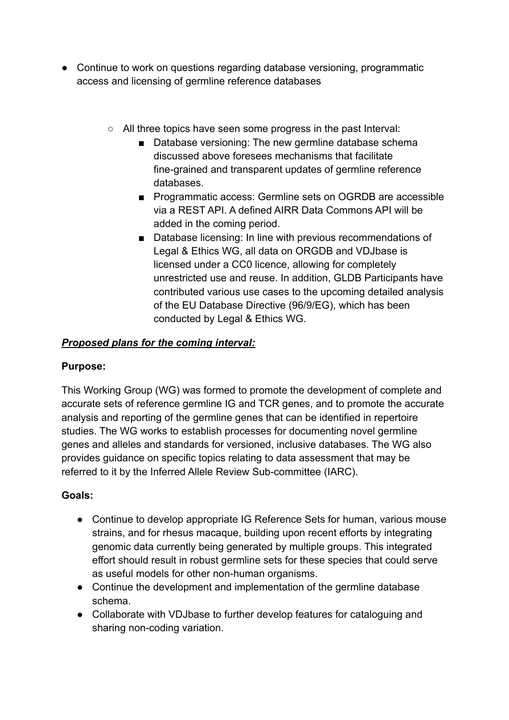- Continue to work on questions regarding database versioning, programmatic access and licensing of germline reference databases
	- All three topics have seen some progress in the past Interval:
		- Database versioning: The new germline database schema discussed above foresees mechanisms that facilitate fine-grained and transparent updates of germline reference databases.
		- Programmatic access: Germline sets on OGRDB are accessible via a REST API. A defined AIRR Data Commons API will be added in the coming period.
		- Database licensing: In line with previous recommendations of Legal & Ethics WG, all data on ORGDB and VDJbase is licensed under a CC0 licence, allowing for completely unrestricted use and reuse. In addition, GLDB Participants have contributed various use cases to the upcoming detailed analysis of the EU Database Directive (96/9/EG), which has been conducted by Legal & Ethics WG.

# *Proposed plans for the coming interval:*

#### **Purpose:**

This Working Group (WG) was formed to promote the development of complete and accurate sets of reference germline IG and TCR genes, and to promote the accurate analysis and reporting of the germline genes that can be identified in repertoire studies. The WG works to establish processes for documenting novel germline genes and alleles and standards for versioned, inclusive databases. The WG also provides guidance on specific topics relating to data assessment that may be referred to it by the Inferred Allele Review Sub-committee (IARC).

#### **Goals:**

- Continue to develop appropriate IG Reference Sets for human, various mouse strains, and for rhesus macaque, building upon recent efforts by integrating genomic data currently being generated by multiple groups. This integrated effort should result in robust germline sets for these species that could serve as useful models for other non-human organisms.
- Continue the development and implementation of the germline database schema.
- Collaborate with VDJbase to further develop features for cataloguing and sharing non-coding variation.